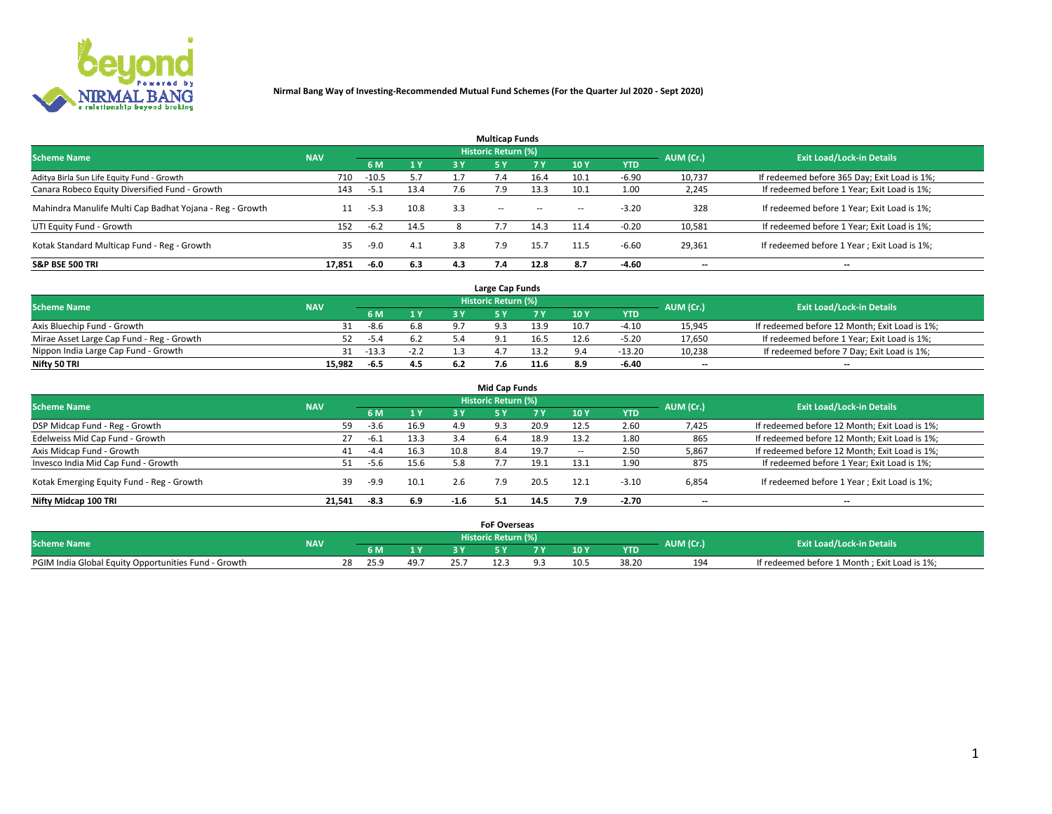

| <b>Multicap Funds</b>                                    |            |         |      |     |                     |           |                          |            |           |                                              |  |  |  |
|----------------------------------------------------------|------------|---------|------|-----|---------------------|-----------|--------------------------|------------|-----------|----------------------------------------------|--|--|--|
| <b>Scheme Name</b>                                       | <b>NAV</b> |         |      |     | Historic Return (%) |           |                          |            | AUM (Cr.) | <b>Exit Load/Lock-in Details</b>             |  |  |  |
|                                                          |            | 6 M     | 1 Y  | 3 Y | <b>5Y</b>           | <b>7Y</b> | 10Y                      | <b>YTD</b> |           |                                              |  |  |  |
| Aditya Birla Sun Life Equity Fund - Growth               | 710        | $-10.5$ | 5.7  |     |                     | 16.4      | 10.1                     | $-6.90$    | 10,737    | If redeemed before 365 Day; Exit Load is 1%; |  |  |  |
| Canara Robeco Equity Diversified Fund - Growth           | 143        | -5.1    | 13.4 | 7.6 | 7.9                 | 13.3      | 10.1                     | 1.00       | 2,245     | If redeemed before 1 Year; Exit Load is 1%;  |  |  |  |
| Mahindra Manulife Multi Cap Badhat Yojana - Reg - Growth | 11         | $-5.3$  | 10.8 | 3.3 | $\sim$ $-$          | $\sim$    | $\overline{\phantom{a}}$ | $-3.20$    | 328       | If redeemed before 1 Year; Exit Load is 1%;  |  |  |  |
| UTI Equity Fund - Growth                                 | 152        | $-6.2$  | 14.5 |     |                     | 14.3      | 11.4                     | $-0.20$    | 10,581    | If redeemed before 1 Year; Exit Load is 1%;  |  |  |  |
| Kotak Standard Multicap Fund - Reg - Growth              | 35         | $-9.0$  | 4.1  | 3.8 | 7.9                 | 15.7      | 11.5                     | $-6.60$    | 29,361    | If redeemed before 1 Year; Exit Load is 1%;  |  |  |  |
| <b>S&amp;P BSE 500 TRI</b>                               | 17.851     | -6.0    | 6.3  | 4.3 |                     | 12.8      | 8.7                      | $-4.60$    | --        | $- -$                                        |  |  |  |

|                                           |            |         |        | Large Cap Funds     |      |      |            |                          |                                               |
|-------------------------------------------|------------|---------|--------|---------------------|------|------|------------|--------------------------|-----------------------------------------------|
| <b>Scheme Name</b>                        | <b>NAV</b> |         |        | Historic Return (%) |      |      |            | AUM (Cr.)                | <b>Exit Load/Lock-in Details</b>              |
|                                           |            | 6 M     | 1Y     |                     |      | 10 Y | <b>YTD</b> |                          |                                               |
| Axis Bluechip Fund - Growth               |            | $-8.6$  | 6.8    |                     | 13.9 | 10.7 | $-4.10$    | 15,945                   | If redeemed before 12 Month; Exit Load is 1%; |
| Mirae Asset Large Cap Fund - Reg - Growth |            | $-5.4$  | 6.2    |                     | 16.5 | 12.6 | $-5.20$    | 17,650                   | If redeemed before 1 Year; Exit Load is 1%;   |
| Nippon India Large Cap Fund - Growth      |            | $-13.3$ | $-2.2$ |                     | 13.2 |      | $-13.20$   | 10,238                   | If redeemed before 7 Day; Exit Load is 1%;    |
| Nifty 50 TRI                              | 15.982     | -6.5    | 4.5    |                     | 11.6 | 8.9  | -6.40      | $\overline{\phantom{a}}$ | $\overline{\phantom{a}}$                      |

|                                           |            |        |      |        | <b>Mid Cap Funds</b>       |      |                          |            |                          |                                               |
|-------------------------------------------|------------|--------|------|--------|----------------------------|------|--------------------------|------------|--------------------------|-----------------------------------------------|
| <b>Scheme Name</b>                        | <b>NAV</b> |        |      |        | <b>Historic Return (%)</b> |      |                          |            | AUM (Cr.)                | <b>Exit Load/Lock-in Details</b>              |
|                                           |            | 6 M    | 1 Y  | 3 Y    |                            | 7 Y  | 10Y                      | <b>YTD</b> |                          |                                               |
| DSP Midcap Fund - Reg - Growth            | 59         | $-3.6$ | 16.9 | 4.9    | 9.3                        | 20.9 | 12.5                     | 2.60       | 7,425                    | If redeemed before 12 Month; Exit Load is 1%; |
| Edelweiss Mid Cap Fund - Growth           | 27         | $-6.1$ | 13.3 | 3.4    | 6.4                        | 18.9 | 13.2                     | 1.80       | 865                      | If redeemed before 12 Month; Exit Load is 1%; |
| Axis Midcap Fund - Growth                 | 41         | $-4.4$ | 16.3 | 10.8   | 8.4                        | 19.7 | $\overline{\phantom{a}}$ | 2.50       | 5,867                    | If redeemed before 12 Month; Exit Load is 1%; |
| Invesco India Mid Cap Fund - Growth       | 51         | -5.6   | 15.6 | 5.8    |                            | 19.1 | 13.1                     | 1.90       | 875                      | If redeemed before 1 Year; Exit Load is 1%;   |
| Kotak Emerging Equity Fund - Reg - Growth | 39         | $-9.9$ | 10.1 | 2.6    | 7.9                        | 20.5 | 12.1                     | $-3.10$    | 6,854                    | If redeemed before 1 Year; Exit Load is 1%;   |
| Nifty Midcap 100 TRI                      | 21.541     | -8.3   | 6.9  | $-1.6$ | 5.1                        | 14.5 | 7.9                      | -2.70      | $\overline{\phantom{a}}$ | $- -$                                         |

|                                                      |            |      |                |      | <b>FoF Overseas</b> |     |            |           |                                              |
|------------------------------------------------------|------------|------|----------------|------|---------------------|-----|------------|-----------|----------------------------------------------|
| <b>Scheme Name</b>                                   | <b>NAV</b> |      |                |      | Historic Return (%) |     |            | AUM (Cr.) | <b>Exit Load/Lock-in Details</b>             |
|                                                      |            | 6 M  | 1 <sub>V</sub> |      |                     | 10Y | <b>YTD</b> |           |                                              |
| PGIM India Global Equity Opportunities Fund - Growth |            | 25.9 | 49.7           | 25.7 |                     |     | 38.20      | 194       | If redeemed before 1 Month; Exit Load is 1%; |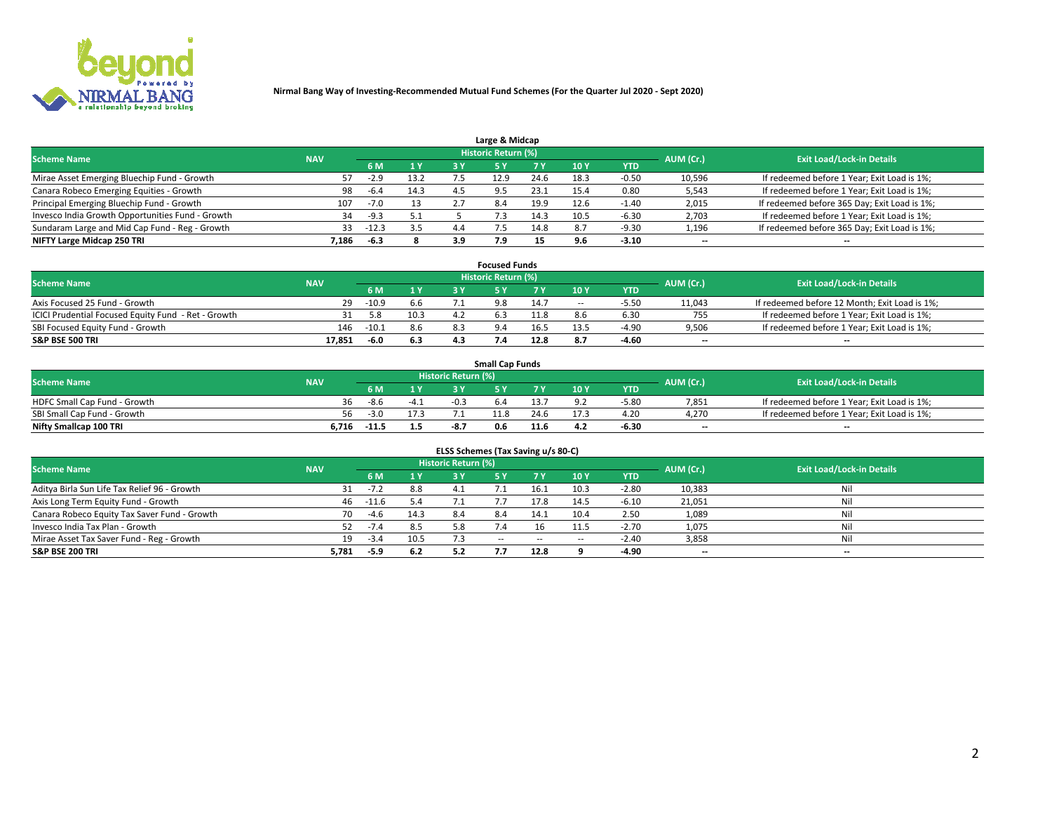

| Large & Midcap                                   |            |         |      |              |                            |      |      |         |                          |                                              |  |  |  |
|--------------------------------------------------|------------|---------|------|--------------|----------------------------|------|------|---------|--------------------------|----------------------------------------------|--|--|--|
| <b>Scheme Name</b>                               | <b>NAV</b> |         |      |              | <b>Historic Return (%)</b> |      |      |         | AUM (Cr.)                | <b>Exit Load/Lock-in Details</b>             |  |  |  |
|                                                  |            | 6 M     | 1Y   | 3 Y          |                            | 7 V  | 10Y  | YTD     |                          |                                              |  |  |  |
| Mirae Asset Emerging Bluechip Fund - Growth      |            | $-2.9$  | 13.2 |              | 12.9                       | 24.6 | 18.3 | $-0.50$ | 10,596                   | If redeemed before 1 Year; Exit Load is 1%;  |  |  |  |
| Canara Robeco Emerging Equities - Growth         | 98         | $-6.4$  | 14.3 |              | $\Omega$                   | 23.1 | 15.4 | 0.80    | 5,543                    | If redeemed before 1 Year; Exit Load is 1%;  |  |  |  |
| Principal Emerging Bluechip Fund - Growth        | 107        | $-7.0$  | 13   | $\mathbf{z}$ | 8.4                        | 19.9 | 12.6 | $-1.40$ | 2,015                    | If redeemed before 365 Day; Exit Load is 1%; |  |  |  |
| Invesco India Growth Opportunities Fund - Growth | 34         | $-9.3$  | 5.1  |              |                            |      | 10.5 | -6.30   | 2,703                    | If redeemed before 1 Year; Exit Load is 1%;  |  |  |  |
| Sundaram Large and Mid Cap Fund - Reg - Growth   | 33         | $-12.3$ | 3.5  | 4.4          |                            | 14.8 |      | $-9.30$ | 1,196                    | If redeemed before 365 Day; Exit Load is 1%; |  |  |  |
| NIFTY Large Midcap 250 TRI                       | 7.186      | $-6.3$  |      | 3.9          |                            | 15   |      | $-3.10$ | $\overline{\phantom{a}}$ | $- -$                                        |  |  |  |

|                                                     |            |         |      |     | <b>Focused Funds</b>       |      |        |            |                          |                                               |
|-----------------------------------------------------|------------|---------|------|-----|----------------------------|------|--------|------------|--------------------------|-----------------------------------------------|
| <b>Scheme Name</b>                                  | <b>NAV</b> |         |      |     | <b>Historic Return (%)</b> |      |        |            | AUM (Cr.)                | <b>Exit Load/Lock-in Details</b>              |
|                                                     |            | 6 M     | 1 Y  |     |                            | 7 Y  | '10 Y  | <b>YTD</b> |                          |                                               |
| Axis Focused 25 Fund - Growth                       | 29         | $-10.9$ | 6.6  |     | 9.8                        | 14.7 | $\sim$ | $-5.5C$    | 11,043                   | If redeemed before 12 Month; Exit Load is 1%; |
| ICICI Prudential Focused Equity Fund - Ret - Growth |            | 5.8     | 10.3 | 4.2 |                            | 11.8 |        | 6.30       | 755                      | If redeemed before 1 Year; Exit Load is 1%;   |
| SBI Focused Equity Fund - Growth                    | 146        | $-10.1$ | 8.6  | 8.3 |                            | 16.5 |        | $-4.90$    | 9,506                    | If redeemed before 1 Year; Exit Load is 1%;   |
| <b>S&amp;P BSE 500 TRI</b>                          | 17.851     | -6.0    | 6.3  | 4.3 |                            | 12.8 |        | $-4.60$    | $\overline{\phantom{a}}$ | $\overline{\phantom{a}}$                      |

| <b>Small Cap Funds</b>       |            |         |        |                     |     |      |                 |            |           |                                             |  |  |
|------------------------------|------------|---------|--------|---------------------|-----|------|-----------------|------------|-----------|---------------------------------------------|--|--|
| <b>Scheme Name</b>           | <b>NAV</b> |         |        | Historic Return (%) |     |      |                 |            | AUM (Cr.) | <b>Exit Load/Lock-in Details</b>            |  |  |
|                              |            | 6 M     | 1 Y    |                     |     |      | 10 <sub>Y</sub> | <b>YTD</b> |           |                                             |  |  |
| HDFC Small Cap Fund - Growth | 36         | -8.6    | $-4.1$ | $-0.3$              | b.4 |      |                 | -5.80      | 7,851     | If redeemed before 1 Year; Exit Load is 1%; |  |  |
| SBI Small Cap Fund - Growth  | 56.        | -3.0    |        |                     |     | 24.6 |                 | 4.20       | 4.270     | If redeemed before 1 Year; Exit Load is 1%; |  |  |
| Nifty Smallcap 100 TRI       | 6.716      | $-11.5$ | 1.5    | -8.7                | 0.6 | 11.6 |                 | $-6.30$    | $- -$     | $- -$                                       |  |  |

| ELSS Schemes (Tax Saving u/s 80-C)           |            |        |      |                            |           |        |                          |            |                          |                                  |  |  |  |
|----------------------------------------------|------------|--------|------|----------------------------|-----------|--------|--------------------------|------------|--------------------------|----------------------------------|--|--|--|
| <b>Scheme Name</b>                           | <b>NAV</b> |        |      | <b>Historic Return (%)</b> |           |        |                          |            | AUM (Cr.)                | <b>Exit Load/Lock-in Details</b> |  |  |  |
|                                              |            | - 6 M  | 1Y   | 3 Y                        | <b>5Y</b> | 7 Y    | 10 Y                     | <b>YTD</b> |                          |                                  |  |  |  |
| Aditya Birla Sun Life Tax Relief 96 - Growth |            | $-7.2$ | 8.8  | 4.1                        |           | 16.1   | 10.3                     | $-2.80$    | 10,383                   | Nil                              |  |  |  |
| Axis Long Term Equity Fund - Growth          | 46         | -11.6  | 5.4  |                            |           | 17.8   | 14.5                     | $-6.10$    | 21,051                   | Nil                              |  |  |  |
| Canara Robeco Equity Tax Saver Fund - Growth | 70         | $-4.6$ | 14.3 | 8.4                        | 8.4       | 14.1   | 10.4                     | 2.50       | 1,089                    | Nil                              |  |  |  |
| Invesco India Tax Plan - Growth              | 52         | $-7.4$ | 8.5  |                            |           |        | 11.5                     | $-2.70$    | 1,075                    | Nil                              |  |  |  |
| Mirae Asset Tax Saver Fund - Reg - Growth    | 19         | $-3.4$ | 10.5 |                            | $- -$     | $\sim$ | $\overline{\phantom{a}}$ | $-2.40$    | 3,858                    | Nil                              |  |  |  |
| S&P BSE 200 TRI                              | 5,781      | -5.9   | 6.2  | 5.2                        |           | 12.8   |                          | -4.90      | $\overline{\phantom{a}}$ | $- -$                            |  |  |  |

# 2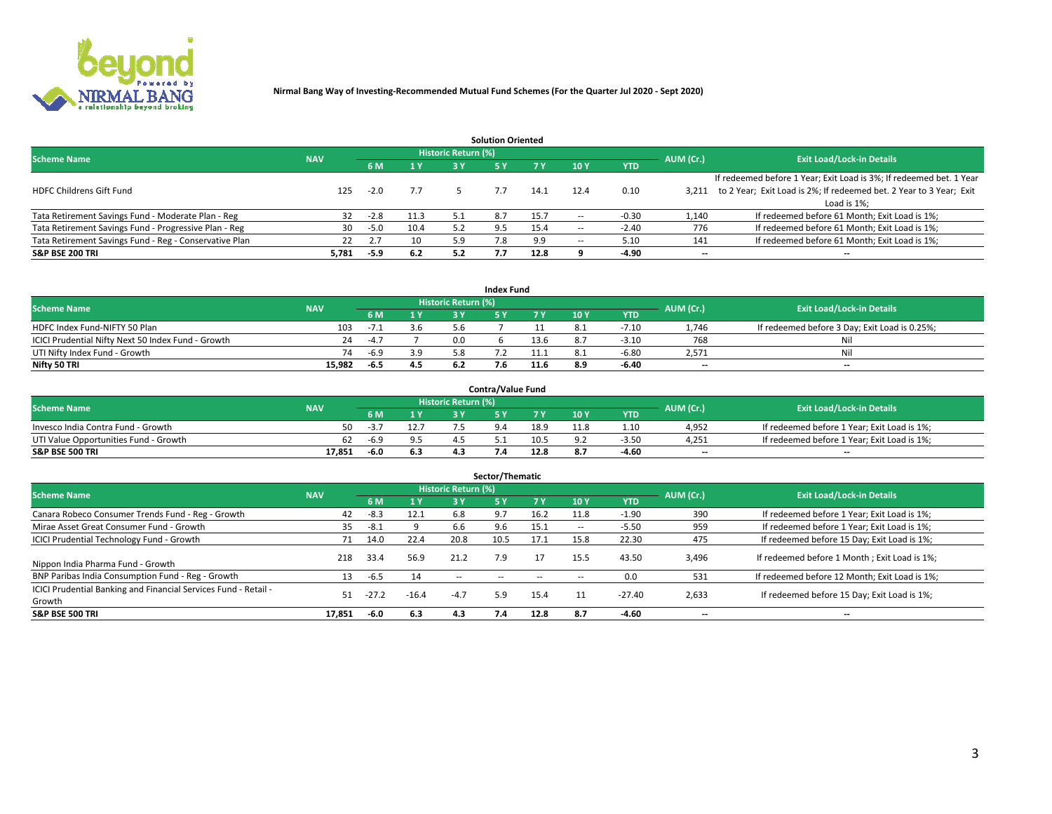

| <b>Solution Oriented</b>                               |            |            |      |                            |     |      |                          |            |                          |                                                                     |  |  |  |  |
|--------------------------------------------------------|------------|------------|------|----------------------------|-----|------|--------------------------|------------|--------------------------|---------------------------------------------------------------------|--|--|--|--|
| <b>Scheme Name</b>                                     | <b>NAV</b> |            |      | <b>Historic Return (%)</b> |     |      |                          |            | AUM (Cr.)                | <b>Exit Load/Lock-in Details</b>                                    |  |  |  |  |
|                                                        |            | <b>6 M</b> | 1 Y  | 3 Y                        |     |      | 10Y                      | <b>YTD</b> |                          |                                                                     |  |  |  |  |
|                                                        |            |            |      |                            |     |      |                          |            |                          | If redeemed before 1 Year; Exit Load is 3%; If redeemed bet. 1 Year |  |  |  |  |
| <b>HDFC Childrens Gift Fund</b>                        | 125        | $-2.0$     | 7.7  |                            |     | 14.1 | 12.4                     | 0.10       | 3.211                    | to 2 Year; Exit Load is 2%; If redeemed bet. 2 Year to 3 Year; Exit |  |  |  |  |
|                                                        |            |            |      |                            |     |      |                          |            |                          | Load is 1%;                                                         |  |  |  |  |
| Tata Retirement Savings Fund - Moderate Plan - Reg     | 32         | $-2.8$     | 11.3 | 5.1                        | 8.7 | 15.7 | --                       | -0.30      | 1,140                    | If redeemed before 61 Month; Exit Load is 1%;                       |  |  |  |  |
| Tata Retirement Savings Fund - Progressive Plan - Reg  | 30         | $-5.0$     | 10.4 | 5.2                        | 9.5 | 15.4 | $\overline{\phantom{a}}$ | $-2.40$    | 776                      | If redeemed before 61 Month; Exit Load is 1%;                       |  |  |  |  |
| Tata Retirement Savings Fund - Reg - Conservative Plan | 22         | 2.7        | 10   | 5.9                        | 7.8 | 9.9  | --                       | 5.10       | 141                      | If redeemed before 61 Month; Exit Load is 1%;                       |  |  |  |  |
| S&P BSE 200 TRI                                        | 5,781      | $-5.9$     | 6.2  | 5.2                        |     | 12.8 |                          | $-4.90$    | $\overline{\phantom{a}}$ | $- -$                                                               |  |  |  |  |

|                                                    |            |        |                |                            | <b>Index Fund</b> |      |      |            |                          |                                               |
|----------------------------------------------------|------------|--------|----------------|----------------------------|-------------------|------|------|------------|--------------------------|-----------------------------------------------|
| <b>Scheme Name</b>                                 | <b>NAV</b> |        |                | <b>Historic Return (%)</b> |                   |      |      |            | AUM (Cr.)                | <b>Exit Load/Lock-in Details</b>              |
|                                                    |            |        | $\sqrt{1}$ $V$ | 2 V                        |                   | 7 V  | 10 Y | <b>YTD</b> |                          |                                               |
| HDFC Index Fund-NIFTY 50 Plan                      | 103        | ـد /−  | 3.6            |                            |                   |      |      | $-7.10$    | 1.746                    | If redeemed before 3 Day; Exit Load is 0.25%; |
| ICICI Prudential Nifty Next 50 Index Fund - Growth | 24         | $-4.7$ |                | n n                        |                   | 13.6 |      | $-3.10$    | 768                      | Nil                                           |
| UTI Nifty Index Fund - Growth                      | 74         | $-6.9$ | 3.9            |                            |                   |      |      | $-6.8C$    | 2,571                    | Nil                                           |
| Nifty 50 TRI                                       | 15,982     | -6.5   | 4.5            |                            |                   | 11.6 | 8.9  | $-6.40$    | $\overline{\phantom{a}}$ | $- -$                                         |

|                                       |            |      |      |                            | <b>Contra/Value Fund</b> |      |     |            |                          |                                             |
|---------------------------------------|------------|------|------|----------------------------|--------------------------|------|-----|------------|--------------------------|---------------------------------------------|
| <b>Scheme Name</b>                    | <b>NAV</b> |      |      | <b>Historic Return (%)</b> |                          |      |     |            | AUM (Cr.)                | <b>Exit Load/Lock-in Details</b>            |
|                                       |            |      | 1 V  |                            |                          | 7 V  | 10Y | <b>YTD</b> |                          |                                             |
| Invesco India Contra Fund - Growth    | 50         | -5., | 12.7 |                            |                          | 18.9 |     | 1.10       | 4,952                    | If redeemed before 1 Year; Exit Load is 1%; |
| UTI Value Opportunities Fund - Growth | 62         | -6.9 |      |                            |                          | 10.5 |     | $-3.5C$    | 4,251                    | If redeemed before 1 Year; Exit Load is 1%; |
| <b>S&amp;P BSE 500 TRI</b>            | 17.851     | -6.0 | 6.3  |                            |                          | 12.8 |     | -4.60      | $\overline{\phantom{a}}$ | $- -$                                       |

| Sector/Thematic                                                           |            |        |                |                     |            |        |                          |            |           |                                               |  |  |  |
|---------------------------------------------------------------------------|------------|--------|----------------|---------------------|------------|--------|--------------------------|------------|-----------|-----------------------------------------------|--|--|--|
| <b>Scheme Name</b>                                                        | <b>NAV</b> |        |                | Historic Return (%) |            |        |                          |            | AUM (Cr.) | <b>Exit Load/Lock-in Details</b>              |  |  |  |
|                                                                           |            | 6 M    | 1 <sub>Y</sub> | 3 Y                 | <b>5Y</b>  | 7 Y    | 10Y                      | <b>YTD</b> |           |                                               |  |  |  |
| Canara Robeco Consumer Trends Fund - Reg - Growth                         | 42         | $-8.3$ | 12.1           | 6.8                 | 9.7        | 16.2   | 11.8                     | $-1.90$    | 390       | If redeemed before 1 Year; Exit Load is 1%;   |  |  |  |
| Mirae Asset Great Consumer Fund - Growth                                  | 35         | $-8.1$ |                | 6.6                 | 9.6        | 15.1   | $\overline{\phantom{a}}$ | $-5.50$    | 959       | If redeemed before 1 Year; Exit Load is 1%;   |  |  |  |
| <b>ICICI Prudential Technology Fund - Growth</b>                          | 71         | 14.0   | 22.4           | 20.8                | 10.5       | 17.1   | 15.8                     | 22.30      | 475       | If redeemed before 15 Day; Exit Load is 1%;   |  |  |  |
| Nippon India Pharma Fund - Growth                                         | 218        | 33.4   | 56.9           | 21.2                | 7.9        |        | 15.5                     | 43.50      | 3,496     | If redeemed before 1 Month; Exit Load is 1%;  |  |  |  |
| BNP Paribas India Consumption Fund - Reg - Growth                         | 13         | -6.5   | 14             | $\sim$ $\sim$       | $\sim$ $-$ | $\sim$ | $\overline{\phantom{a}}$ | 0.0        | 531       | If redeemed before 12 Month; Exit Load is 1%; |  |  |  |
| ICICI Prudential Banking and Financial Services Fund - Retail -<br>Growth | 51         |        | $-16.4$        | $-4.7$              | 5.9        | 15.4   | 11                       | $-27.40$   | 2,633     | If redeemed before 15 Day; Exit Load is 1%;   |  |  |  |
| <b>S&amp;P BSE 500 TRI</b>                                                | 17.851     | $-6.0$ | 6.3            | 4.3                 | 7.4        | 12.8   | 8.7                      | $-4.60$    | --        | $- -$                                         |  |  |  |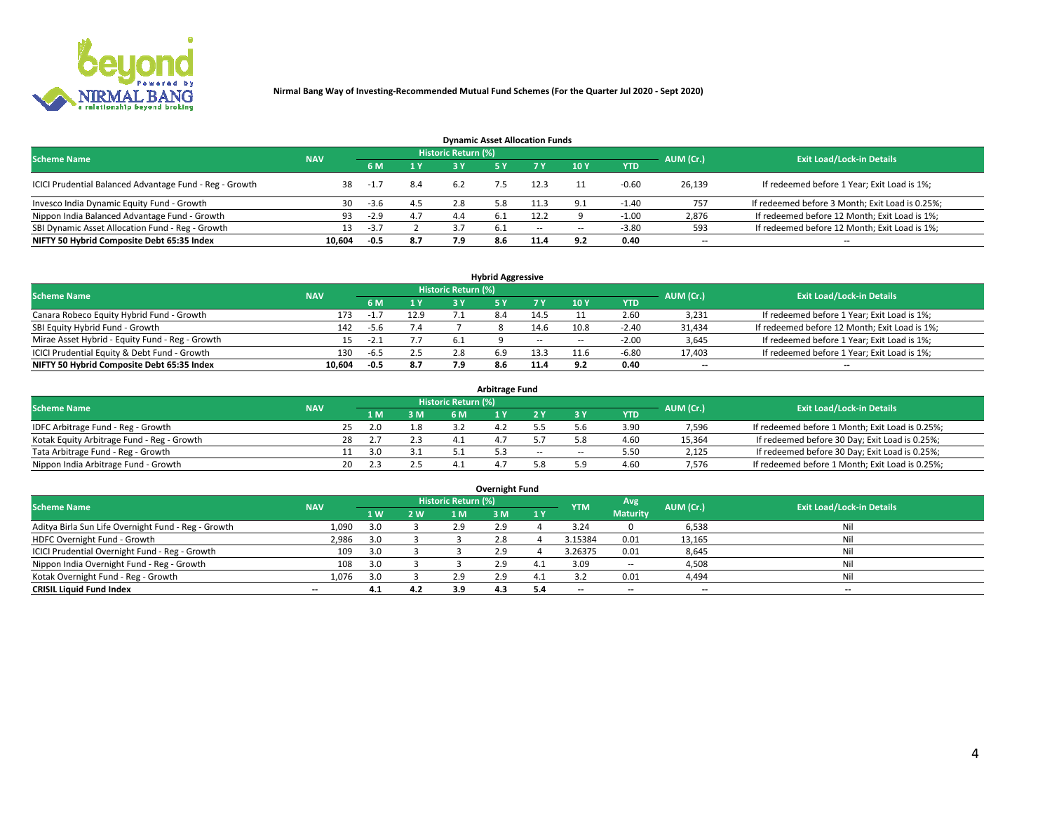

| <b>Dynamic Asset Allocation Funds</b>                   |                                                                                                                 |        |     |     |      |        |            |            |                          |                                                 |  |  |  |  |  |
|---------------------------------------------------------|-----------------------------------------------------------------------------------------------------------------|--------|-----|-----|------|--------|------------|------------|--------------------------|-------------------------------------------------|--|--|--|--|--|
|                                                         | <b>Historic Return (%)</b><br><b>Exit Load/Lock-in Details</b><br><b>Scheme Name</b><br>AUM (Cr.)<br><b>NAV</b> |        |     |     |      |        |            |            |                          |                                                 |  |  |  |  |  |
|                                                         |                                                                                                                 | 6 M    | 1 Y | 3 Y |      |        | 10Y        | <b>YTD</b> |                          |                                                 |  |  |  |  |  |
| ICICI Prudential Balanced Advantage Fund - Reg - Growth | 38                                                                                                              | $-1.7$ | 8.4 | 6.2 |      | 12.3   |            | $-0.60$    | 26,139                   | If redeemed before 1 Year; Exit Load is 1%;     |  |  |  |  |  |
| Invesco India Dynamic Equity Fund - Growth              | 30                                                                                                              | -3.6   | 4.5 | 2.8 | 5.8  | 11.3   | $\alpha$ 1 | $-1.40$    | 757                      | If redeemed before 3 Month; Exit Load is 0.25%; |  |  |  |  |  |
| Nippon India Balanced Advantage Fund - Growth           | 93                                                                                                              | $-2.9$ | 4.7 | 4.4 | b.1  | 12.2   |            | -1.00      | 2,876                    | If redeemed before 12 Month; Exit Load is 1%;   |  |  |  |  |  |
| SBI Dynamic Asset Allocation Fund - Reg - Growth        |                                                                                                                 | $-3.7$ |     | 3.7 | -6.1 | $\sim$ | --         | $-3.80$    | 593                      | If redeemed before 12 Month; Exit Load is 1%;   |  |  |  |  |  |
| NIFTY 50 Hybrid Composite Debt 65:35 Index              | 10,604                                                                                                          | $-0.5$ | 8.7 | 7.9 | 8.6  | 11.4   | 9.2        | 0.40       | $\overline{\phantom{a}}$ | $- -$                                           |  |  |  |  |  |

| <b>Hybrid Aggressive</b>                        |                                                                                                                 |        |            |      |     |            |            |            |        |                                               |  |  |  |  |  |
|-------------------------------------------------|-----------------------------------------------------------------------------------------------------------------|--------|------------|------|-----|------------|------------|------------|--------|-----------------------------------------------|--|--|--|--|--|
|                                                 | <b>Historic Return (%)</b><br><b>Exit Load/Lock-in Details</b><br>AUM (Cr.)<br><b>Scheme Name</b><br><b>NAV</b> |        |            |      |     |            |            |            |        |                                               |  |  |  |  |  |
|                                                 |                                                                                                                 |        | <b>ALV</b> | 2 V  |     |            | <b>10Y</b> | <b>YTD</b> |        |                                               |  |  |  |  |  |
| Canara Robeco Equity Hybrid Fund - Growth       | 173                                                                                                             | -1     | 12.9       |      |     | 14.5       |            | 2.60       | 3,231  | If redeemed before 1 Year; Exit Load is 1%;   |  |  |  |  |  |
| SBI Equity Hybrid Fund - Growth                 | 142                                                                                                             | $-5.6$ | 7.4        |      |     | 14.6       | 10.8       | $-2.40$    | 31,434 | If redeemed before 12 Month; Exit Load is 1%; |  |  |  |  |  |
| Mirae Asset Hybrid - Equity Fund - Reg - Growth |                                                                                                                 | -2.1   |            | -6.1 |     | $\sim$ $-$ | $\sim$     | $-2.00$    | 3,645  | If redeemed before 1 Year; Exit Load is 1%;   |  |  |  |  |  |
| ICICI Prudential Equity & Debt Fund - Growth    | 130                                                                                                             | $-6.5$ | 2.5        |      | 6.9 | 13.3       |            | $-6.80$    | 17,403 | If redeemed before 1 Year; Exit Load is 1%;   |  |  |  |  |  |
| NIFTY 50 Hybrid Composite Debt 65:35 Index      | 10.604                                                                                                          | $-0.5$ | 8.7        | 7.9  | 8.6 |            |            | 0.40       | --     | $- -$                                         |  |  |  |  |  |

| <b>Arbitrage Fund</b>                      |            |                                  |  |     |           |     |     |        |            |        |                                                 |  |  |  |
|--------------------------------------------|------------|----------------------------------|--|-----|-----------|-----|-----|--------|------------|--------|-------------------------------------------------|--|--|--|
| <b>Scheme Name</b>                         | AUM (Cr.)  | <b>Exit Load/Lock-in Details</b> |  |     |           |     |     |        |            |        |                                                 |  |  |  |
|                                            | <b>NAV</b> | LΜ                               |  | 3 M | <b>6M</b> |     |     |        | <b>YTD</b> |        |                                                 |  |  |  |
| IDFC Arbitrage Fund - Reg - Growth         |            | 25<br>2.0                        |  | 1.8 |           | 4.4 |     |        | 3.90       | 7,596  | If redeemed before 1 Month; Exit Load is 0.25%; |  |  |  |
| Kotak Equity Arbitrage Fund - Reg - Growth |            |                                  |  |     |           |     |     |        | 4.60       | 15,364 | If redeemed before 30 Day; Exit Load is 0.25%;  |  |  |  |
| Tata Arbitrage Fund - Reg - Growth         |            | 3.0                              |  |     |           |     | $-$ | $\sim$ | 5.50       | 2,125  | If redeemed before 30 Day; Exit Load is 0.25%;  |  |  |  |
| Nippon India Arbitrage Fund - Growth       |            | 20                               |  |     |           |     |     | : ۵    | 4.60       | 7.576  | If redeemed before 1 Month; Exit Load is 0.25%; |  |  |  |

| Overnight Fund                                      |            |     |     |                     |        |      |            |                 |                          |                                  |  |  |  |  |
|-----------------------------------------------------|------------|-----|-----|---------------------|--------|------|------------|-----------------|--------------------------|----------------------------------|--|--|--|--|
| <b>Scheme Name</b>                                  | <b>NAV</b> |     |     | Historic Return (%) |        |      | <b>YTM</b> | Avg             | AUM (Cr.)                | <b>Exit Load/Lock-in Details</b> |  |  |  |  |
|                                                     |            | 1W  | 2 W | 1 M                 | : M    | 1 Y  |            | <b>Maturity</b> |                          |                                  |  |  |  |  |
| Aditya Birla Sun Life Overnight Fund - Reg - Growth | 1,090      | 3.0 |     | 2.9                 |        |      | 3.24       |                 | 6,538                    | Nil                              |  |  |  |  |
| HDFC Overnight Fund - Growth                        | 2,986      | 3.0 |     |                     | $\sim$ |      | 3.15384    | 0.01            | 13,165                   | Nil                              |  |  |  |  |
| ICICI Prudential Overnight Fund - Reg - Growth      | 109        | 3.0 |     |                     |        |      | 3.26375    | 0.01            | 8,645                    | Nil                              |  |  |  |  |
| Nippon India Overnight Fund - Reg - Growth          | 108        | 3.0 |     |                     | 2.9    | - 4. | 3.09       | $\sim$ $\sim$   | 4,508                    | Nil                              |  |  |  |  |
| Kotak Overnight Fund - Reg - Growth                 | 1,076      | 3.0 |     | 2.9                 |        |      |            | 0.01            | 4,494                    | Nil                              |  |  |  |  |
| <b>CRISIL Liquid Fund Index</b>                     | $- -$      | 4.1 | 4.2 | 3.9                 | 4.3    |      | --         | $- -$           | $\overline{\phantom{a}}$ | $- -$                            |  |  |  |  |

### **Overnight Fund**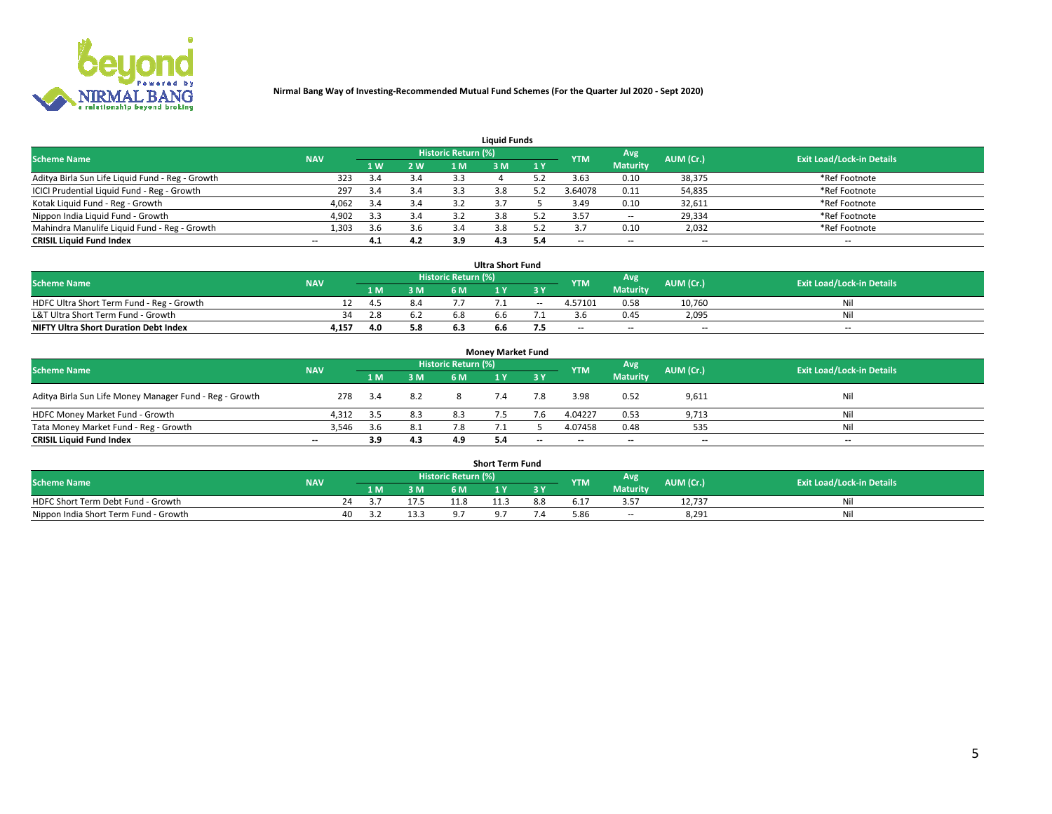

| <b>Liquid Funds</b>                              |            |     |     |                            |     |     |            |                 |                          |                                  |  |  |  |  |
|--------------------------------------------------|------------|-----|-----|----------------------------|-----|-----|------------|-----------------|--------------------------|----------------------------------|--|--|--|--|
| <b>Scheme Name</b>                               | <b>NAV</b> |     |     | <b>Historic Return (%)</b> |     |     | <b>YTM</b> | Avg             | AUM (Cr.)                | <b>Exit Load/Lock-in Details</b> |  |  |  |  |
|                                                  |            | 1 W | 2 W | 1 M                        | ዩ M | 1Y  |            | <b>Maturity</b> |                          |                                  |  |  |  |  |
| Aditya Birla Sun Life Liquid Fund - Reg - Growth | 323        |     | 3.4 | 3.3                        |     |     | 3.63       | 0.10            | 38,375                   | *Ref Footnote                    |  |  |  |  |
| ICICI Prudential Liquid Fund - Reg - Growth      | 297        | 3.4 | 3.4 |                            | 3.8 |     | 3.64078    | 0.11            | 54,835                   | *Ref Footnote                    |  |  |  |  |
| Kotak Liquid Fund - Reg - Growth                 | 4,062      | 3.4 | 3.4 |                            |     |     | 3.49       | 0.10            | 32,611                   | *Ref Footnote                    |  |  |  |  |
| Nippon India Liquid Fund - Growth                | 4,902      | 3.3 | 3.4 |                            |     |     | 3.57       | $\sim$ $-$      | 29,334                   | *Ref Footnote                    |  |  |  |  |
| Mahindra Manulife Liquid Fund - Reg - Growth     | 1,303      | 3.6 | 3.6 | .5.4                       | 3.8 |     |            | 0.10            | 2,032                    | *Ref Footnote                    |  |  |  |  |
| <b>CRISIL Liquid Fund Index</b>                  | $- -$      | 4.1 | 4.2 | 3.9                        | 4.3 | 5.4 | $- -$      | $- -$           | $\overline{\phantom{a}}$ | $\hspace{0.05cm} \cdots$         |  |  |  |  |

| <b>Ultra Short Fund</b>                      |            |     |     |                            |     |        |            |                 |                          |                                  |  |  |  |  |
|----------------------------------------------|------------|-----|-----|----------------------------|-----|--------|------------|-----------------|--------------------------|----------------------------------|--|--|--|--|
| <b>Scheme Name</b>                           | <b>NAV</b> |     |     | <b>Historic Return (%)</b> |     |        | <b>YTM</b> | <b>Avg</b>      | AUM (Cr.)                | <b>Exit Load/Lock-in Details</b> |  |  |  |  |
|                                              |            | 1 M | 3 M | 6 M                        |     | 3 Y    |            | <b>Maturity</b> |                          |                                  |  |  |  |  |
| HDFC Ultra Short Term Fund - Reg - Growth    |            | 4.5 | 8.4 |                            |     | $\sim$ | 4.57101    | 0.58            | 10.760                   | Nil                              |  |  |  |  |
| L&T Ultra Short Term Fund - Growth           | 34         | 2.8 | 6.2 |                            | h h |        |            | 0.45            | 2,095                    | Nil                              |  |  |  |  |
| <b>NIFTY Ultra Short Duration Debt Index</b> | 4,157      | 4.0 | 5.8 |                            | 6.6 |        | $- -$      | $- -$           | $\overline{\phantom{a}}$ | $- -$                            |  |  |  |  |

| <b>Money Market Fund</b>                                |                          |      |     |                     |  |       |                          |                 |                          |                                  |  |  |  |  |
|---------------------------------------------------------|--------------------------|------|-----|---------------------|--|-------|--------------------------|-----------------|--------------------------|----------------------------------|--|--|--|--|
| <b>Scheme Name</b>                                      | <b>NAV</b>               |      |     | Historic Return (%) |  |       | <b>YTM</b>               | Avg             | AUM (Cr.)                | <b>Exit Load/Lock-in Details</b> |  |  |  |  |
|                                                         |                          | 1 M  | 3 M | 6 M                 |  | 3 Y   |                          | <b>Maturity</b> |                          |                                  |  |  |  |  |
| Aditya Birla Sun Life Money Manager Fund - Reg - Growth | 278                      | 3.4  | 8.2 |                     |  | 7.8   | 3.98                     | 0.52            | 9,611                    | Nil                              |  |  |  |  |
| HDFC Money Market Fund - Growth                         | 4.312                    | -3.5 | 8.3 | 8.3                 |  |       | 4.04227                  | 0.53            | 9,713                    | Nil                              |  |  |  |  |
| Tata Money Market Fund - Reg - Growth                   | 3,546                    | 3.6  | 8.1 |                     |  |       | 4.07458                  | 0.48            | 535                      | Nil                              |  |  |  |  |
| <b>CRISIL Liquid Fund Index</b>                         | $\overline{\phantom{a}}$ | 3.9  | 4.3 | 4.9                 |  | $- -$ | $\overline{\phantom{a}}$ | $- -$           | $\overline{\phantom{a}}$ | $- -$                            |  |  |  |  |

|                                       | <b>Short Term Fund</b> |     |      |                     |  |     |            |                 |           |                                  |  |  |  |  |  |
|---------------------------------------|------------------------|-----|------|---------------------|--|-----|------------|-----------------|-----------|----------------------------------|--|--|--|--|--|
| <b>Scheme Name</b>                    | <b>NAV</b>             |     |      | Historic Return (%) |  |     | <b>YTM</b> | Avg'            | AUM (Cr.) | <b>Exit Load/Lock-in Details</b> |  |  |  |  |  |
|                                       |                        | l M | 3 M  |                     |  | 3 Y |            | <b>Maturity</b> |           |                                  |  |  |  |  |  |
| HDFC Short Term Debt Fund - Growth    |                        |     |      | 11.8                |  |     | ′ ⊥.د      | 3.57            | 12.737    | Νıl                              |  |  |  |  |  |
| Nippon India Short Term Fund - Growth | 40                     |     | 13.3 |                     |  |     | 5.86       | $- -$           | 8.291     | Nil                              |  |  |  |  |  |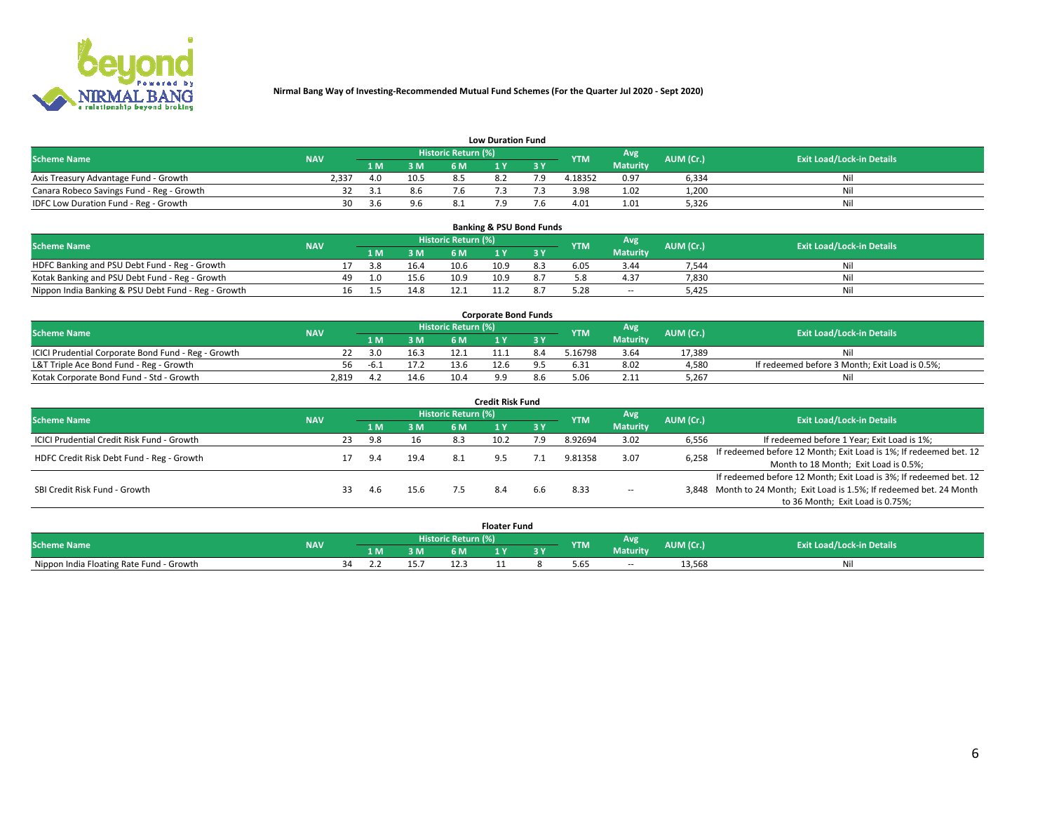

|                                           | <b>Low Duration Fund</b> |      |      |                     |     |     |            |                 |           |                                  |  |  |  |  |  |
|-------------------------------------------|--------------------------|------|------|---------------------|-----|-----|------------|-----------------|-----------|----------------------------------|--|--|--|--|--|
| <b>Scheme Name</b>                        | <b>NAV</b>               |      |      | Historic Return (%) |     |     | <b>YTM</b> | Avg             | AUM (Cr.) | <b>Exit Load/Lock-in Details</b> |  |  |  |  |  |
|                                           |                          | L M. | 3 M  |                     |     | 3 Y |            | <b>Maturity</b> |           |                                  |  |  |  |  |  |
| Axis Treasury Advantage Fund - Growth     | 2.337                    | 4.0  | 10.5 |                     | 8.2 |     | 4.18352    | 0.97            | 6,334     | Nil                              |  |  |  |  |  |
| Canara Robeco Savings Fund - Reg - Growth |                          | -3.1 | 8.6  | 7.6                 |     |     | 3.98       | 1.02            | 1,200     | Nil                              |  |  |  |  |  |
| IDFC Low Duration Fund - Reg - Growth     | 30                       | 3 h  |      |                     |     |     | 4.01       | 1.01            | 5,326     | Nil                              |  |  |  |  |  |

| <b>Banking &amp; PSU Bond Funds</b>                 |            |     |     |      |                     |      |                               |            |                 |           |                                  |  |  |  |
|-----------------------------------------------------|------------|-----|-----|------|---------------------|------|-------------------------------|------------|-----------------|-----------|----------------------------------|--|--|--|
| <b>Scheme Name</b>                                  | <b>NAV</b> |     |     |      | Historic Return (%) |      |                               | <b>YTM</b> | Avg             | AUM (Cr.) | <b>Exit Load/Lock-in Details</b> |  |  |  |
|                                                     |            |     | 1 M | 3 M  | 6 M                 |      | $\overline{3}$ $\overline{V}$ |            | <b>Maturity</b> |           |                                  |  |  |  |
| HDFC Banking and PSU Debt Fund - Reg - Growth       |            |     | 3.8 | 16.4 | 10.6                | 10.9 | 8.3                           | 6.05       | 3.44            | 7,544     | Ni                               |  |  |  |
| Kotak Banking and PSU Debt Fund - Reg - Growth      |            | 49. |     | 15.6 | 10.9                | 10.9 |                               |            | 4.37            | 7,830     | Ni                               |  |  |  |
| Nippon India Banking & PSU Debt Fund - Reg - Growth |            | 16  |     | 14.8 |                     |      |                               |            | --              | 5.425     | Ni                               |  |  |  |

| <b>Corporate Bond Funds</b>                         |            |      |      |                            |  |  |            |          |           |                                                |  |  |  |  |
|-----------------------------------------------------|------------|------|------|----------------------------|--|--|------------|----------|-----------|------------------------------------------------|--|--|--|--|
| <b>Scheme Name</b>                                  | <b>NAV</b> |      |      | <b>Historic Return (%)</b> |  |  | <b>YTM</b> | Avg      | AUM (Cr.) | <b>Exit Load/Lock-in Details</b>               |  |  |  |  |
|                                                     |            |      | 3 M  | 6 M.                       |  |  |            | Maturity |           |                                                |  |  |  |  |
| ICICI Prudential Corporate Bond Fund - Reg - Growth |            | 3.0  | 16.3 |                            |  |  | .16798     | 3.64     | 17.389    | Nil                                            |  |  |  |  |
| L&T Triple Ace Bond Fund - Reg - Growth             |            | -6.⊥ | 17.2 | 13.6                       |  |  | 6.31       | 8.02     | 4,580     | If redeemed before 3 Month; Exit Load is 0.5%; |  |  |  |  |
| Kotak Corporate Bond Fund - Std - Growth            | 2.819      |      | 14.6 | 10.4                       |  |  |            | 2.11     | 5,267     | Nil                                            |  |  |  |  |

| <b>Credit Risk Fund</b>                    |            |    |     |      |                            |      |           |            |                 |           |                                                                       |  |  |  |
|--------------------------------------------|------------|----|-----|------|----------------------------|------|-----------|------------|-----------------|-----------|-----------------------------------------------------------------------|--|--|--|
| <b>Scheme Name</b>                         | <b>NAV</b> |    |     |      | <b>Historic Return (%)</b> |      |           | <b>YTM</b> | Avg             | AUM (Cr.) | <b>Exit Load/Lock-in Details</b>                                      |  |  |  |
|                                            |            |    | 1 M | 3 M  | 6 M                        |      | <b>3Y</b> |            | <b>Maturity</b> |           |                                                                       |  |  |  |
| ICICI Prudential Credit Risk Fund - Growth |            | 23 | 9.8 | 16   | 8.3                        | 10.2 | 7.9       | 8.92694    | 3.02            | 6,556     | If redeemed before 1 Year; Exit Load is 1%;                           |  |  |  |
| HDFC Credit Risk Debt Fund - Reg - Growth  |            |    | 9.4 | 19.4 |                            |      |           | 9.81358    | 3.07            | 6,258     | If redeemed before 12 Month; Exit Load is 1%; If redeemed bet. 12     |  |  |  |
|                                            |            |    |     |      |                            |      |           |            |                 |           | Month to 18 Month; Exit Load is 0.5%;                                 |  |  |  |
|                                            |            |    |     |      |                            |      |           |            |                 |           | If redeemed before 12 Month; Exit Load is 3%; If redeemed bet. 12     |  |  |  |
| SBI Credit Risk Fund - Growth              |            |    | 4.b |      |                            |      | b.b       | 8.33       | $\sim$ $-$      |           | 3,848 Month to 24 Month; Exit Load is 1.5%; If redeemed bet. 24 Month |  |  |  |
|                                            |            |    |     |      |                            |      |           |            |                 |           | to 36 Month; Exit Load is 0.75%;                                      |  |  |  |

| <b>Floater Fund</b>                      |            |    |     |     |                            |     |     |            |                 |            |                                  |
|------------------------------------------|------------|----|-----|-----|----------------------------|-----|-----|------------|-----------------|------------|----------------------------------|
| <b>Scheme Name</b>                       | <b>NAV</b> |    |     |     | <b>Historic Return (%)</b> |     |     | <b>YTM</b> | Avg             | AUM (Cr.). | <b>Exit Load/Lock-in Details</b> |
|                                          |            |    | 1 M | 3 M | 6 M'                       | i v | n c |            | <b>Maturity</b> |            |                                  |
| Nippon India Floating Rate Fund - Growth |            | ≺Δ |     |     |                            |     |     | 5.65       | $\sim$ $-$      | 13,568     | Νı                               |